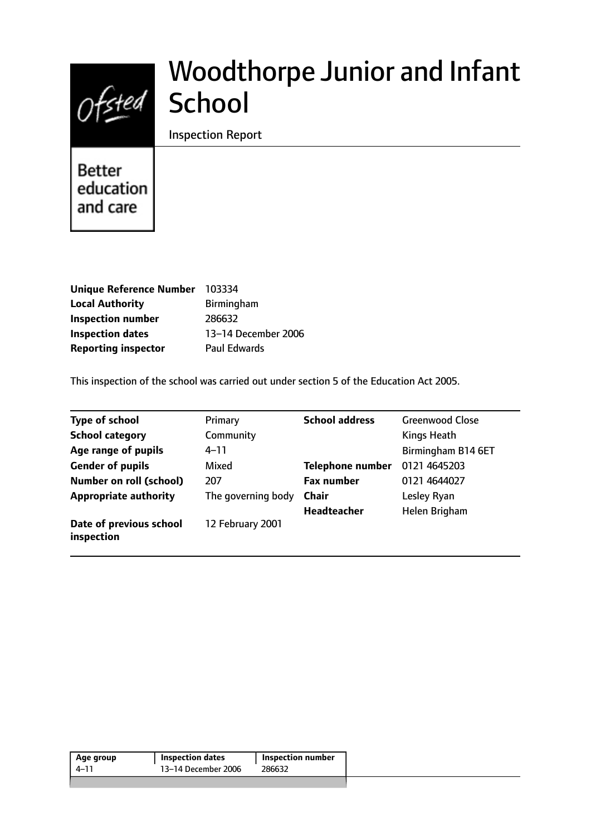

# Woodthorpe Junior and Infant School

Inspection Report

**Better** education and care

| Unique Reference Number 103334 |                     |
|--------------------------------|---------------------|
| <b>Local Authority</b>         | <b>Birmingham</b>   |
| <b>Inspection number</b>       | 286632              |
| <b>Inspection dates</b>        | 13-14 December 2006 |
| <b>Reporting inspector</b>     | <b>Paul Edwards</b> |

This inspection of the school was carried out under section 5 of the Education Act 2005.

| <b>Type of school</b>                 | Primary            | <b>School address</b>   | <b>Greenwood Close</b> |
|---------------------------------------|--------------------|-------------------------|------------------------|
| <b>School category</b>                | Community          |                         | Kings Heath            |
| Age range of pupils                   | 4–11               |                         | Birmingham B14 6ET     |
| <b>Gender of pupils</b>               | Mixed              | <b>Telephone number</b> | 0121 4645203           |
| <b>Number on roll (school)</b>        | 207                | <b>Fax number</b>       | 0121 4644027           |
| <b>Appropriate authority</b>          | The governing body | <b>Chair</b>            | Lesley Ryan            |
|                                       |                    | <b>Headteacher</b>      | Helen Brigham          |
| Date of previous school<br>inspection | 12 February 2001   |                         |                        |

| Age group | <b>Inspection dates</b> | Inspection number |
|-----------|-------------------------|-------------------|
| 4–11      | 13-14 December 2006     | 286632            |
|           |                         |                   |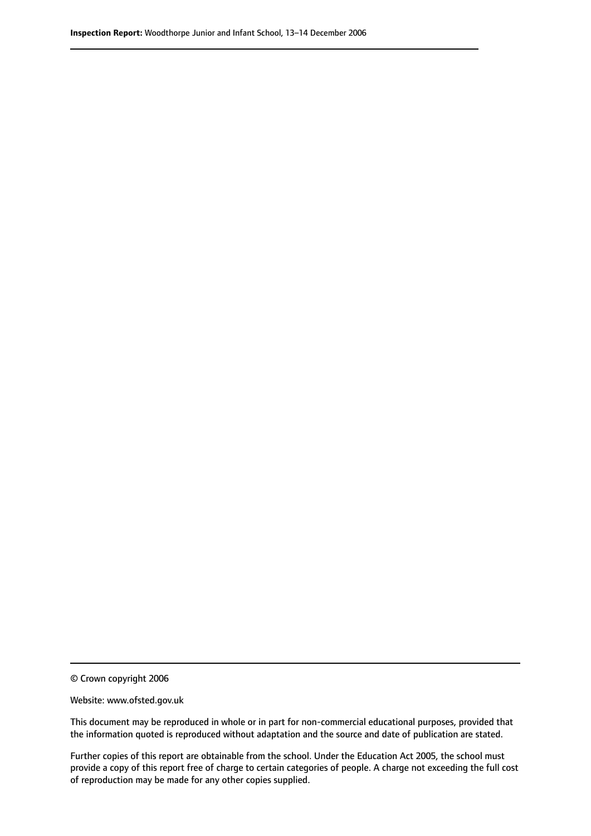© Crown copyright 2006

Website: www.ofsted.gov.uk

This document may be reproduced in whole or in part for non-commercial educational purposes, provided that the information quoted is reproduced without adaptation and the source and date of publication are stated.

Further copies of this report are obtainable from the school. Under the Education Act 2005, the school must provide a copy of this report free of charge to certain categories of people. A charge not exceeding the full cost of reproduction may be made for any other copies supplied.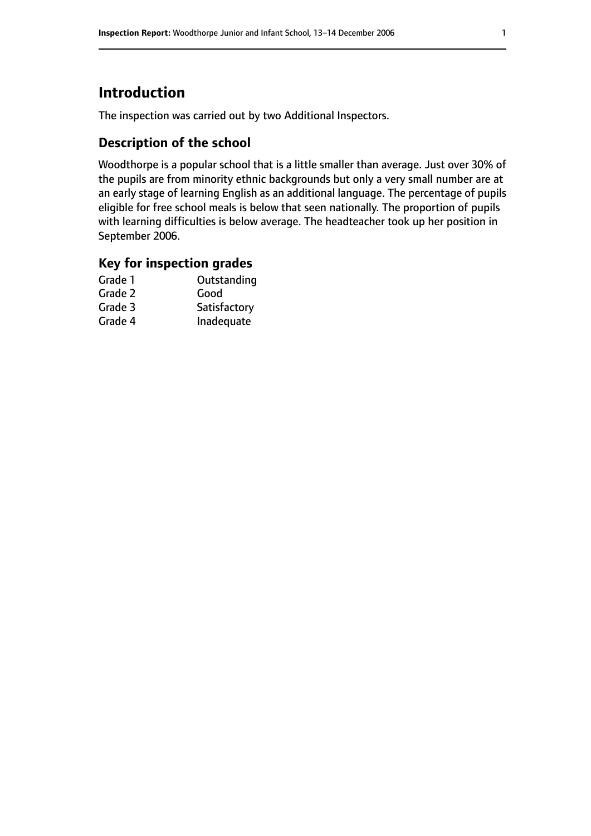# **Introduction**

The inspection was carried out by two Additional Inspectors.

## **Description of the school**

Woodthorpe is a popular school that is a little smaller than average. Just over 30% of the pupils are from minority ethnic backgrounds but only a very small number are at an early stage of learning English as an additional language. The percentage of pupils eligible for free school meals is below that seen nationally. The proportion of pupils with learning difficulties is below average. The headteacher took up her position in September 2006.

## **Key for inspection grades**

| Outstanding  |
|--------------|
| Good         |
| Satisfactory |
| Inadequate   |
|              |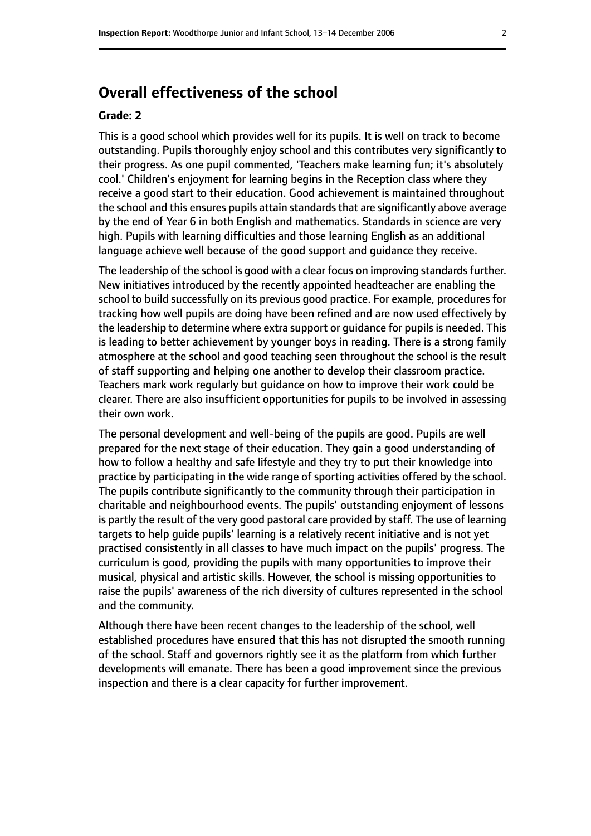# **Overall effectiveness of the school**

#### **Grade: 2**

This is a good school which provides well for its pupils. It is well on track to become outstanding. Pupils thoroughly enjoy school and this contributes very significantly to their progress. As one pupil commented, 'Teachers make learning fun; it's absolutely cool.' Children's enjoyment for learning begins in the Reception class where they receive a good start to their education. Good achievement is maintained throughout the school and this ensures pupils attain standards that are significantly above average by the end of Year 6 in both English and mathematics. Standards in science are very high. Pupils with learning difficulties and those learning English as an additional language achieve well because of the good support and guidance they receive.

The leadership of the school is good with a clear focus on improving standards further. New initiatives introduced by the recently appointed headteacher are enabling the school to build successfully on its previous good practice. For example, procedures for tracking how well pupils are doing have been refined and are now used effectively by the leadership to determine where extra support or guidance for pupils is needed. This is leading to better achievement by younger boys in reading. There is a strong family atmosphere at the school and good teaching seen throughout the school is the result of staff supporting and helping one another to develop their classroom practice. Teachers mark work regularly but guidance on how to improve their work could be clearer. There are also insufficient opportunities for pupils to be involved in assessing their own work.

The personal development and well-being of the pupils are good. Pupils are well prepared for the next stage of their education. They gain a good understanding of how to follow a healthy and safe lifestyle and they try to put their knowledge into practice by participating in the wide range of sporting activities offered by the school. The pupils contribute significantly to the community through their participation in charitable and neighbourhood events. The pupils' outstanding enjoyment of lessons is partly the result of the very good pastoral care provided by staff. The use of learning targets to help guide pupils' learning is a relatively recent initiative and is not yet practised consistently in all classes to have much impact on the pupils' progress. The curriculum is good, providing the pupils with many opportunities to improve their musical, physical and artistic skills. However, the school is missing opportunities to raise the pupils' awareness of the rich diversity of cultures represented in the school and the community.

Although there have been recent changes to the leadership of the school, well established procedures have ensured that this has not disrupted the smooth running of the school. Staff and governors rightly see it as the platform from which further developments will emanate. There has been a good improvement since the previous inspection and there is a clear capacity for further improvement.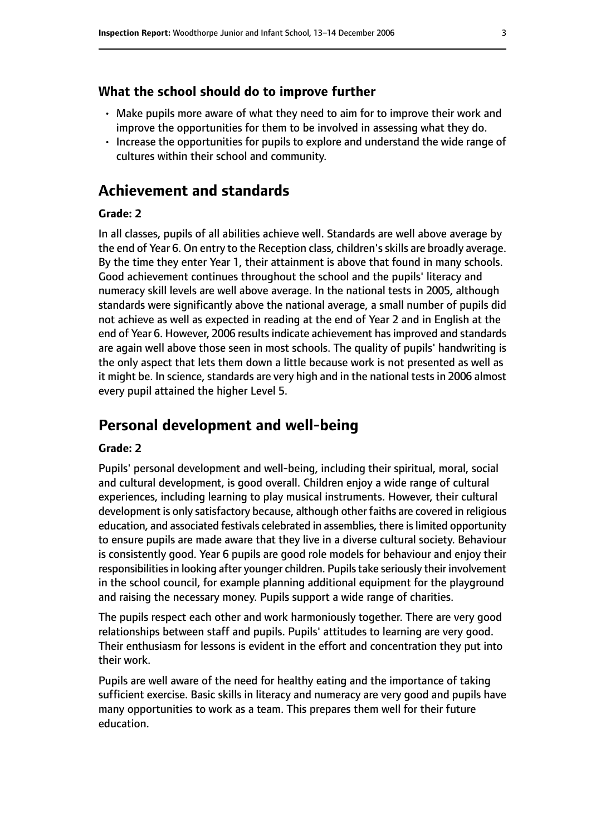#### **What the school should do to improve further**

- Make pupils more aware of what they need to aim for to improve their work and improve the opportunities for them to be involved in assessing what they do.
- Increase the opportunities for pupils to explore and understand the wide range of cultures within their school and community.

# **Achievement and standards**

#### **Grade: 2**

In all classes, pupils of all abilities achieve well. Standards are well above average by the end of Year 6. On entry to the Reception class, children'sskills are broadly average. By the time they enter Year 1, their attainment is above that found in many schools. Good achievement continues throughout the school and the pupils' literacy and numeracy skill levels are well above average. In the national tests in 2005, although standards were significantly above the national average, a small number of pupils did not achieve as well as expected in reading at the end of Year 2 and in English at the end of Year 6. However, 2006 resultsindicate achievement hasimproved and standards are again well above those seen in most schools. The quality of pupils' handwriting is the only aspect that lets them down a little because work is not presented as well as it might be. In science, standards are very high and in the national tests in 2006 almost every pupil attained the higher Level 5.

### **Personal development and well-being**

#### **Grade: 2**

Pupils' personal development and well-being, including their spiritual, moral, social and cultural development, is good overall. Children enjoy a wide range of cultural experiences, including learning to play musical instruments. However, their cultural development is only satisfactory because, although other faiths are covered in religious education, and associated festivals celebrated in assemblies, there is limited opportunity to ensure pupils are made aware that they live in a diverse cultural society. Behaviour is consistently good. Year 6 pupils are good role models for behaviour and enjoy their responsibilities in looking after younger children. Pupils take seriously their involvement in the school council, for example planning additional equipment for the playground and raising the necessary money. Pupils support a wide range of charities.

The pupils respect each other and work harmoniously together. There are very good relationships between staff and pupils. Pupils' attitudes to learning are very good. Their enthusiasm for lessons is evident in the effort and concentration they put into their work.

Pupils are well aware of the need for healthy eating and the importance of taking sufficient exercise. Basic skills in literacy and numeracy are very good and pupils have many opportunities to work as a team. This prepares them well for their future education.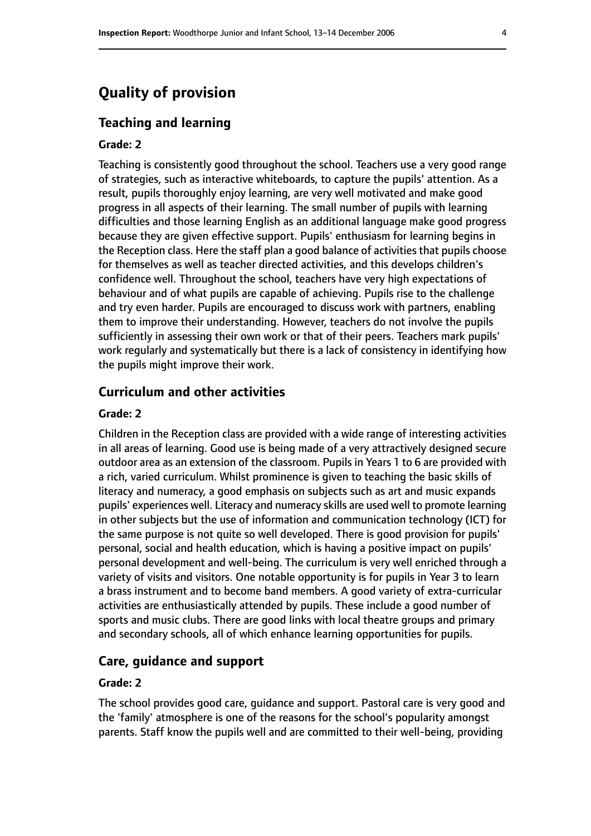# **Quality of provision**

#### **Teaching and learning**

#### **Grade: 2**

Teaching is consistently good throughout the school. Teachers use a very good range of strategies, such as interactive whiteboards, to capture the pupils' attention. As a result, pupils thoroughly enjoy learning, are very well motivated and make good progress in all aspects of their learning. The small number of pupils with learning difficulties and those learning English as an additional language make good progress because they are given effective support. Pupils' enthusiasm for learning begins in the Reception class. Here the staff plan a good balance of activities that pupils choose for themselves as well as teacher directed activities, and this develops children's confidence well. Throughout the school, teachers have very high expectations of behaviour and of what pupils are capable of achieving. Pupils rise to the challenge and try even harder. Pupils are encouraged to discuss work with partners, enabling them to improve their understanding. However, teachers do not involve the pupils sufficiently in assessing their own work or that of their peers. Teachers mark pupils' work regularly and systematically but there is a lack of consistency in identifying how the pupils might improve their work.

#### **Curriculum and other activities**

#### **Grade: 2**

Children in the Reception class are provided with a wide range of interesting activities in all areas of learning. Good use is being made of a very attractively designed secure outdoor area as an extension of the classroom. Pupils in Years 1 to 6 are provided with a rich, varied curriculum. Whilst prominence is given to teaching the basic skills of literacy and numeracy, a good emphasis on subjects such as art and music expands pupils' experiences well. Literacy and numeracy skills are used well to promote learning in other subjects but the use of information and communication technology (ICT) for the same purpose is not quite so well developed. There is good provision for pupils' personal, social and health education, which is having a positive impact on pupils' personal development and well-being. The curriculum is very well enriched through a variety of visits and visitors. One notable opportunity is for pupils in Year 3 to learn a brass instrument and to become band members. A good variety of extra-curricular activities are enthusiastically attended by pupils. These include a good number of sports and music clubs. There are good links with local theatre groups and primary and secondary schools, all of which enhance learning opportunities for pupils.

#### **Care, guidance and support**

#### **Grade: 2**

The school provides good care, guidance and support. Pastoral care is very good and the 'family' atmosphere is one of the reasons for the school's popularity amongst parents. Staff know the pupils well and are committed to their well-being, providing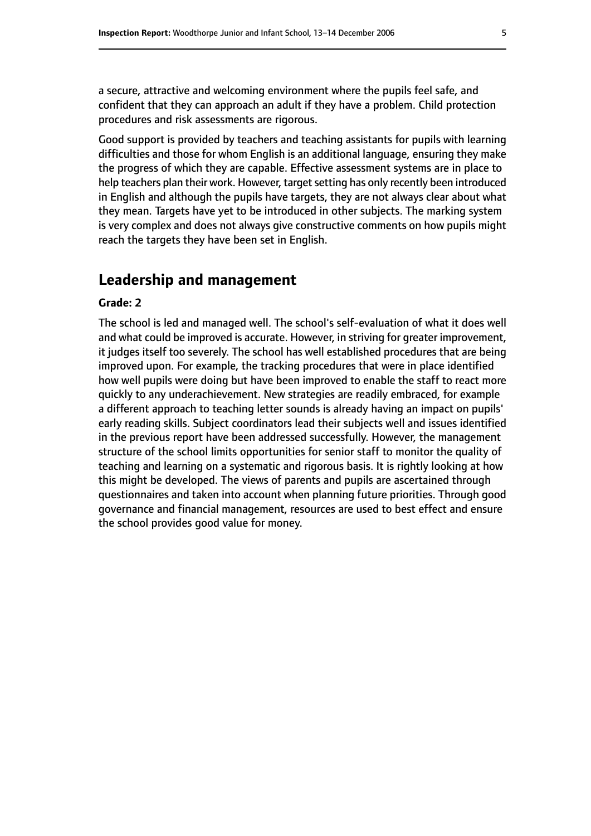a secure, attractive and welcoming environment where the pupils feel safe, and confident that they can approach an adult if they have a problem. Child protection procedures and risk assessments are rigorous.

Good support is provided by teachers and teaching assistants for pupils with learning difficulties and those for whom English is an additional language, ensuring they make the progress of which they are capable. Effective assessment systems are in place to help teachers plan their work. However, target setting has only recently been introduced in English and although the pupils have targets, they are not always clear about what they mean. Targets have yet to be introduced in other subjects. The marking system is very complex and does not always give constructive comments on how pupils might reach the targets they have been set in English.

# **Leadership and management**

#### **Grade: 2**

The school is led and managed well. The school's self-evaluation of what it does well and what could be improved is accurate. However, in striving for greater improvement, it judges itself too severely. The school has well established procedures that are being improved upon. For example, the tracking procedures that were in place identified how well pupils were doing but have been improved to enable the staff to react more quickly to any underachievement. New strategies are readily embraced, for example a different approach to teaching letter sounds is already having an impact on pupils' early reading skills. Subject coordinators lead their subjects well and issues identified in the previous report have been addressed successfully. However, the management structure of the school limits opportunities for senior staff to monitor the quality of teaching and learning on a systematic and rigorous basis. It is rightly looking at how this might be developed. The views of parents and pupils are ascertained through questionnaires and taken into account when planning future priorities. Through good governance and financial management, resources are used to best effect and ensure the school provides good value for money.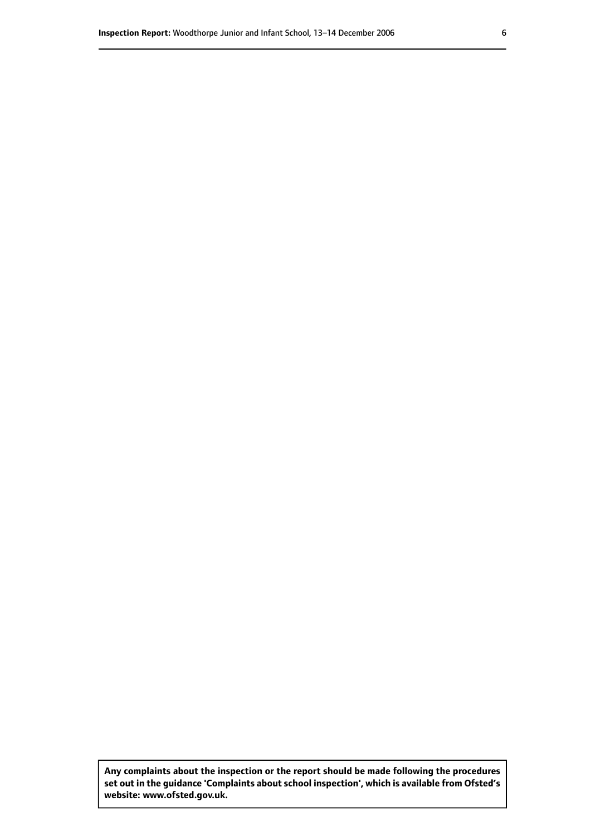**Any complaints about the inspection or the report should be made following the procedures set out inthe guidance 'Complaints about school inspection', whichis available from Ofsted's website: www.ofsted.gov.uk.**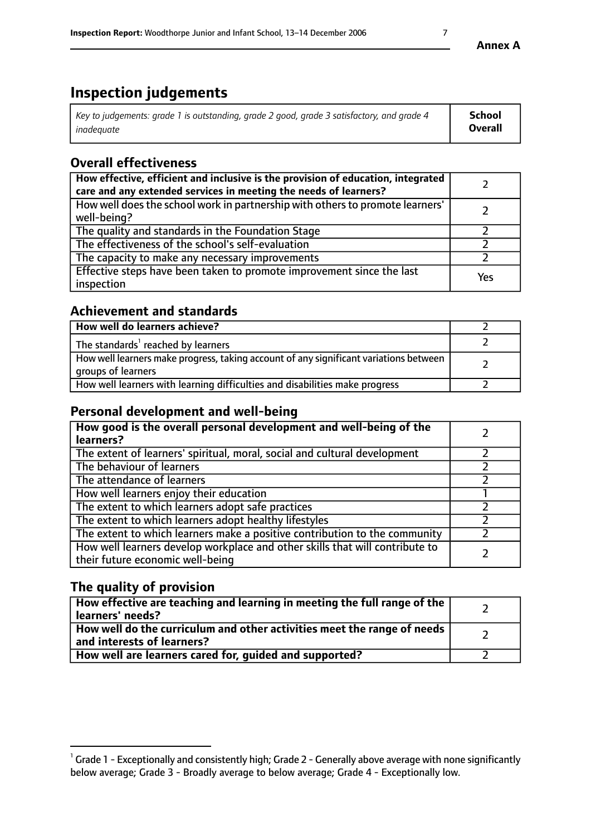# **Inspection judgements**

| Key to judgements: grade 1 is outstanding, grade 2 good, grade 3 satisfactory, and grade 4 | <b>School</b>  |
|--------------------------------------------------------------------------------------------|----------------|
| inadeauate                                                                                 | <b>Overall</b> |

# **Overall effectiveness**

| How effective, efficient and inclusive is the provision of education, integrated<br>care and any extended services in meeting the needs of learners? |     |
|------------------------------------------------------------------------------------------------------------------------------------------------------|-----|
| How well does the school work in partnership with others to promote learners'<br>well-being?                                                         |     |
| The quality and standards in the Foundation Stage                                                                                                    |     |
| The effectiveness of the school's self-evaluation                                                                                                    |     |
| The capacity to make any necessary improvements                                                                                                      |     |
| Effective steps have been taken to promote improvement since the last<br>inspection                                                                  | Yes |

## **Achievement and standards**

| How well do learners achieve?                                                                               |  |
|-------------------------------------------------------------------------------------------------------------|--|
| The standards <sup>1</sup> reached by learners                                                              |  |
| How well learners make progress, taking account of any significant variations between<br>groups of learners |  |
| How well learners with learning difficulties and disabilities make progress                                 |  |

## **Personal development and well-being**

| How good is the overall personal development and well-being of the<br>learners?                                  |  |
|------------------------------------------------------------------------------------------------------------------|--|
| The extent of learners' spiritual, moral, social and cultural development                                        |  |
| The behaviour of learners                                                                                        |  |
| The attendance of learners                                                                                       |  |
| How well learners enjoy their education                                                                          |  |
| The extent to which learners adopt safe practices                                                                |  |
| The extent to which learners adopt healthy lifestyles                                                            |  |
| The extent to which learners make a positive contribution to the community                                       |  |
| How well learners develop workplace and other skills that will contribute to<br>their future economic well-being |  |

# **The quality of provision**

| How effective are teaching and learning in meeting the full range of the<br>  learners' needs?                      |  |
|---------------------------------------------------------------------------------------------------------------------|--|
| $\mid$ How well do the curriculum and other activities meet the range of needs<br>$\mid$ and interests of learners? |  |
| How well are learners cared for, guided and supported?                                                              |  |

 $^1$  Grade 1 - Exceptionally and consistently high; Grade 2 - Generally above average with none significantly below average; Grade 3 - Broadly average to below average; Grade 4 - Exceptionally low.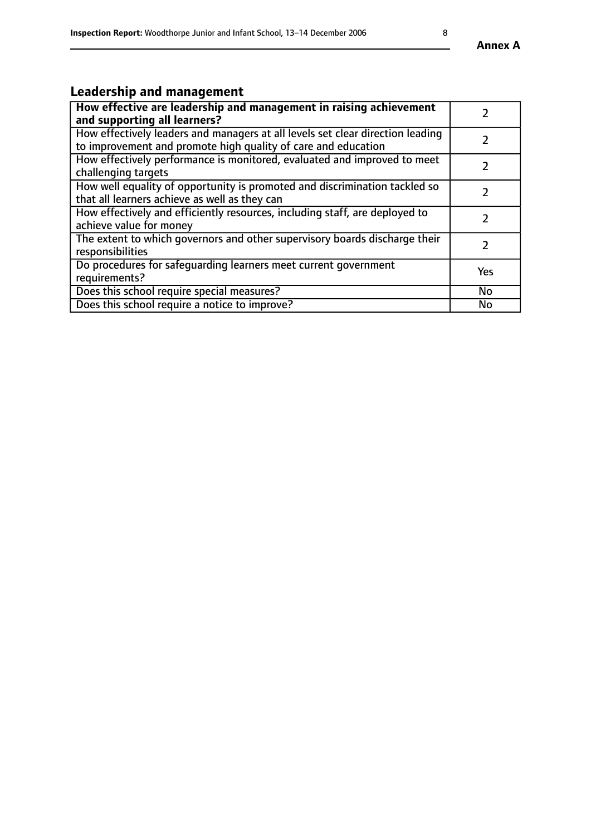# **Leadership and management**

| How effective are leadership and management in raising achievement<br>and supporting all learners?                                              |               |
|-------------------------------------------------------------------------------------------------------------------------------------------------|---------------|
| How effectively leaders and managers at all levels set clear direction leading<br>to improvement and promote high quality of care and education |               |
| How effectively performance is monitored, evaluated and improved to meet<br>challenging targets                                                 |               |
| How well equality of opportunity is promoted and discrimination tackled so<br>that all learners achieve as well as they can                     |               |
| How effectively and efficiently resources, including staff, are deployed to<br>achieve value for money                                          | $\mathcal{P}$ |
| The extent to which governors and other supervisory boards discharge their<br>responsibilities                                                  |               |
| Do procedures for safeguarding learners meet current government<br>requirements?                                                                | Yes           |
| Does this school require special measures?                                                                                                      | <b>No</b>     |
| Does this school require a notice to improve?                                                                                                   | <b>No</b>     |